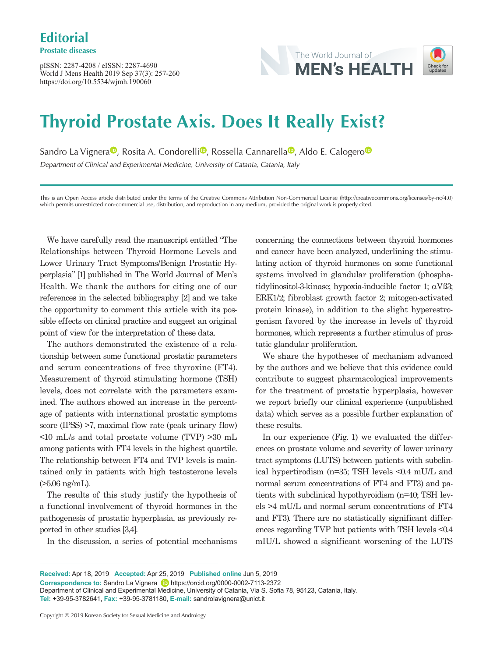pISSN: 2287-4208 / eISSN: 2287-4690 World J Mens Health 2019 Sep 37(3): 257-260 https://doi.org/10.5534/wjmh.190060



# **Thyroid Prostate Axis. Does It Really Exist?**

S[a](https://orcid.org/0000-0002-7113-2372)ndro La Vignera<sup>to</sup>[,](https://orcid.org/0000-0003-4599-8487) R[o](https://orcid.org/0000-0001-6950-335X)sita A. Condorelli<sup>to</sup>, Rossella Cannarella<sup>to</sup>, Aldo E. Calogero<sup>to</sup> Department of Clinical and Experimental Medicine, University of Catania, Catania, Italy

This is an Open Access article distributed under the terms of the Creative Commons Attribution Non-Commercial License (http://creativecommons.org/licenses/by-nc/4.0) which permits unrestricted non-commercial use, distribution, and reproduction in any medium, provided the original work is properly cited.

We have carefully read the manuscript entitled "The Relationships between Thyroid Hormone Levels and Lower Urinary Tract Symptoms/Benign Prostatic Hyperplasia" [1] published in The World Journal of Men's Health. We thank the authors for citing one of our references in the selected bibliography [2] and we take the opportunity to comment this article with its possible effects on clinical practice and suggest an original point of view for the interpretation of these data.

The authors demonstrated the existence of a relationship between some functional prostatic parameters and serum concentrations of free thyroxine (FT4). Measurement of thyroid stimulating hormone (TSH) levels, does not correlate with the parameters examined. The authors showed an increase in the percentage of patients with international prostatic symptoms score (IPSS) >7, maximal flow rate (peak urinary flow) <10 mL/s and total prostate volume (TVP) >30 mL among patients with FT4 levels in the highest quartile. The relationship between FT4 and TVP levels is maintained only in patients with high testosterone levels  $($ >5.06 ng/mL).

The results of this study justify the hypothesis of a functional involvement of thyroid hormones in the pathogenesis of prostatic hyperplasia, as previously reported in other studies [3,4].

In the discussion, a series of potential mechanisms

concerning the connections between thyroid hormones and cancer have been analyzed, underlining the stimulating action of thyroid hormones on some functional systems involved in glandular proliferation (phosphatidylinositol-3-kinase; hypoxia-inducible factor 1;  $\alpha$ Vß3; ERK1/2; fibroblast growth factor 2; mitogen-activated protein kinase), in addition to the slight hyperestrogenism favored by the increase in levels of thyroid hormones, which represents a further stimulus of prostatic glandular proliferation.

We share the hypotheses of mechanism advanced by the authors and we believe that this evidence could contribute to suggest pharmacological improvements for the treatment of prostatic hyperplasia, however we report briefly our clinical experience (unpublished data) which serves as a possible further explanation of these results.

In our experience (Fig. 1) we evaluated the differences on prostate volume and severity of lower urinary tract symptoms (LUTS) between patients with subclinical hypertirodism (n=35; TSH levels <0.4 mU/L and normal serum concentrations of FT4 and FT3) and patients with subclinical hypothyroidism (n=40; TSH levels >4 mU/L and normal serum concentrations of FT4 and FT3). There are no statistically significant differences regarding TVP but patients with TSH levels <0.4 mIU/L showed a significant worsening of the LUTS

**Received:** Apr 18, 2019 **Accepted:** Apr 25, 2019 **Published online** Jun 5, 2019 **Correspondence to:** Sandro La Vignera **iD** https://orcid.org/0000-0002-7113-2372 Department of Clinical and Experimental Medicine, University of Catania, Via S. Sofia 78, 95123, Catania, Italy. **Tel:** +39-95-3782641, **Fax:** +39-95-3781180, **E-mail:** sandrolavignera@unict.it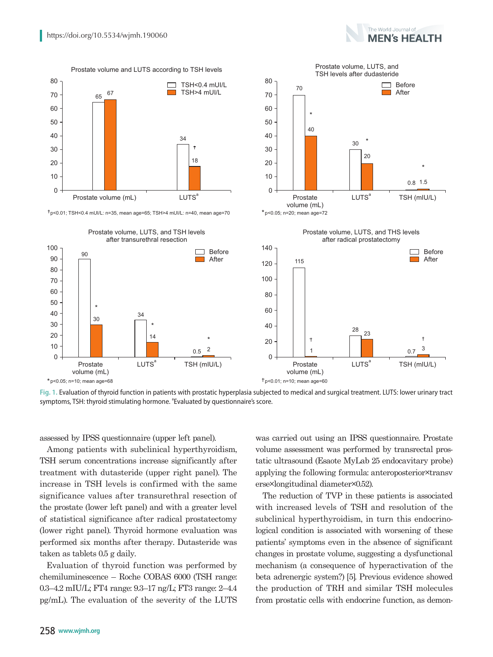

 $\dagger$ p<0.01; TSH<0.4 mUI/L: n=35, mean age=65; TSH>4 mUI/L: n=40, mean age=70



 $\Omega$ 

Prostate volume (mL)

 $*_{p<0.05; n=20; mean \text{ age}=72}$ 

\*

 $40$ 

70

**Fig. 1.** Evaluation of thyroid function in patients with prostatic hyperplasia subjected to medical and surgical treatment. LUTS: lower urinary tract symptoms, TSH: thyroid stimulating hormone. <sup>a</sup> Evaluated by questionnaire's score.

assessed by IPSS questionnaire (upper left panel).

Among patients with subclinical hyperthyroidism, TSH serum concentrations increase significantly after treatment with dutasteride (upper right panel). The increase in TSH levels is confirmed with the same significance values after transurethral resection of the prostate (lower left panel) and with a greater level of statistical significance after radical prostatectomy (lower right panel). Thyroid hormone evaluation was performed six months after therapy. Dutasteride was taken as tablets 0.5 g daily.

Evaluation of thyroid function was performed by chemiluminescence – Roche COBAS 6000 (TSH range: 0.3–4.2 mIU/L; FT4 range: 9.3–17 ng/L; FT3 range: 2–4.4 pg/mL). The evaluation of the severity of the LUTS

was carried out using an IPSS questionnaire. Prostate volume assessment was performed by transrectal prostatic ultrasound (Esaote MyLab 25 endocavitary probe) applying the following formula: anteroposterior×transv erse×longitudinal diameter×0.52).

The reduction of TVP in these patients is associated with increased levels of TSH and resolution of the subclinical hyperthyroidism, in turn this endocrinological condition is associated with worsening of these patients' symptoms even in the absence of significant changes in prostate volume, suggesting a dysfunctional mechanism (a consequence of hyperactivation of the beta adrenergic system?) [5]. Previous evidence showed the production of TRH and similar TSH molecules from prostatic cells with endocrine function, as demon-

Prostate volume, LUTS, and TSH levels after dudasteride

LUTS<sup>a</sup>

\*

20

30



 $\Box$  Before **Net** After

TSH (mIU/L)

0.8 1.5

\*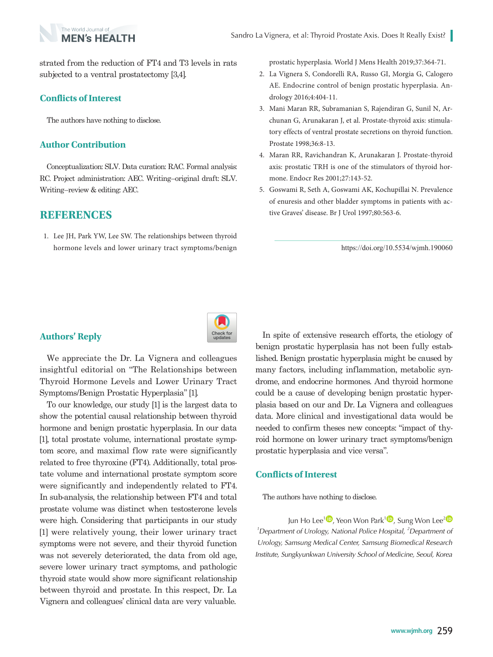

strated from the reduction of FT4 and T3 levels in rats subjected to a ventral prostatectomy [3,4].

## **Conflicts of Interest**

The authors have nothing to disclose.

#### **Author Contribution**

Conceptualization: SLV. Data curation: RAC. Formal analysis: RC. Project administration: AEC. Writing–original draft: SLV. Writing–review & editing: AEC.

#### **REFERENCES**

1. Lee JH, Park YW, Lee SW. The relationships between thyroid hormone levels and lower urinary tract symptoms/benign prostatic hyperplasia. World J Mens Health 2019;37:364-71.

- 2. La Vignera S, Condorelli RA, Russo GI, Morgia G, Calogero AE. Endocrine control of benign prostatic hyperplasia. Andrology 2016;4:404-11.
- 3. Mani Maran RR, Subramanian S, Rajendiran G, Sunil N, Archunan G, Arunakaran J, et al. Prostate-thyroid axis: stimulatory effects of ventral prostate secretions on thyroid function. Prostate 1998;36:8-13.
- 4. Maran RR, Ravichandran K, Arunakaran J. Prostate-thyroid axis: prostatic TRH is one of the stimulators of thyroid hormone. Endocr Res 2001;27:143-52.
- 5. Goswami R, Seth A, Goswami AK, Kochupillai N. Prevalence of enuresis and other bladder symptoms in patients with active Graves' disease. Br J Urol 1997;80:563-6.

https://doi.org/10.5534/wjmh.190060



### **Authors' Reply**

We appreciate the Dr. La Vignera and colleagues insightful editorial on "The Relationships between Thyroid Hormone Levels and Lower Urinary Tract Symptoms/Benign Prostatic Hyperplasia" [1].

To our knowledge, our study [1] is the largest data to show the potential causal relationship between thyroid hormone and benign prostatic hyperplasia. In our data [1], total prostate volume, international prostate symptom score, and maximal flow rate were significantly related to free thyroxine (FT4). Additionally, total prostate volume and international prostate symptom score were significantly and independently related to FT4. In sub-analysis, the relationship between FT4 and total prostate volume was distinct when testosterone levels were high. Considering that participants in our study [1] were relatively young, their lower urinary tract symptoms were not severe, and their thyroid function was not severely deteriorated, the data from old age, severe lower urinary tract symptoms, and pathologic thyroid state would show more significant relationship between thyroid and prostate. In this respect, Dr. La Vignera and colleagues' clinical data are very valuable.

In spite of extensive research efforts, the etiology of benign prostatic hyperplasia has not been fully established. Benign prostatic hyperplasia might be caused by many factors, including inflammation, metabolic syndrome, and endocrine hormones. And thyroid hormone could be a cause of developing benign prostatic hyperplasia based on our and Dr. La Vignera and colleagues data. More clinical and investigational data would be needed to confirm theses new concepts: "impact of thyroid hormone on lower urinary tract symptoms/benign prostatic hyperplasia and vice versa".

#### **Conflicts of Interest**

The authors have nothing to disclose.

Jun Ho Lee<sup>1</sup><sup>(D</sup>[,](https://orcid.org/0000-0003-3567-0816) Yeon Won Park<sup>1</sup><sup>(D</sup>)[,](https://orcid.org/0000-0003-0751-8892) Sung Won Lee<sup>[2](https://orcid.org/0000-0001-6608-9050)</sup><sup>(D</sup>) <sup>1</sup>Department of Urology, National Police Hospital, <sup>2</sup>Department of Urology, Samsung Medical Center, Samsung Biomedical Research Institute, Sungkyunkwan University School of Medicine, Seoul, Korea